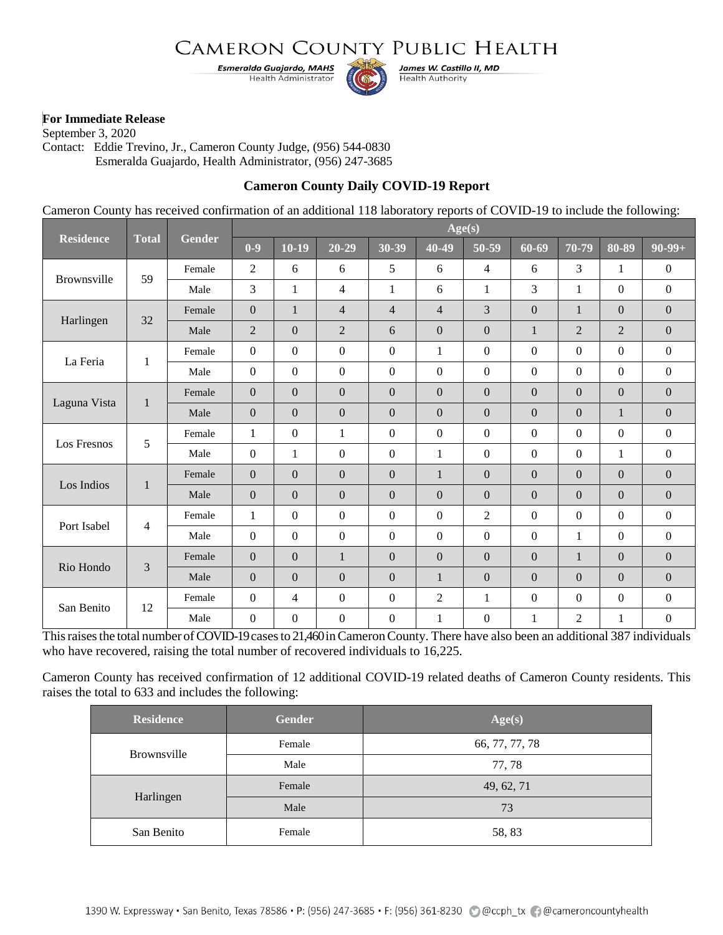# CAMERON COUNTY PUBLIC HEALTH

**Esmeralda Guajardo, MAHS** Health Administrator



James W. Castillo II, MD **Health Authority** 

#### **For Immediate Release**

September 3, 2020 Contact: Eddie Trevino, Jr., Cameron County Judge, (956) 544-0830 Esmeralda Guajardo, Health Administrator, (956) 247-3685

### **Cameron County Daily COVID-19 Report**

Cameron County has received confirmation of an additional 118 laboratory reports of COVID-19 to include the following:

| <b>Residence</b>   | <b>Total</b>   | Gender | Age(s)           |                  |                  |                  |                  |                  |                  |                |                  |                  |
|--------------------|----------------|--------|------------------|------------------|------------------|------------------|------------------|------------------|------------------|----------------|------------------|------------------|
|                    |                |        | $0-9$            | $10-19$          | $20 - 29$        | 30-39            | 40-49            | 50-59            | $60 - 69$        | 70-79          | 80-89            | $90-99+$         |
| <b>Brownsville</b> | 59             | Female | $\overline{2}$   | 6                | 6                | 5                | 6                | $\overline{4}$   | 6                | $\mathfrak{Z}$ | 1                | $\boldsymbol{0}$ |
|                    |                | Male   | 3                | $\mathbf{1}$     | 4                | 1                | 6                | 1                | 3                | $\mathbf{1}$   | $\mathbf{0}$     | $\boldsymbol{0}$ |
| Harlingen          | 32             | Female | $\boldsymbol{0}$ | $\mathbf{1}$     | 4                | $\overline{4}$   | $\overline{4}$   | 3                | $\mathbf{0}$     | $\mathbf{1}$   | $\boldsymbol{0}$ | $\mathbf{0}$     |
|                    |                | Male   | $\overline{c}$   | $\mathbf{0}$     | $\overline{2}$   | 6                | $\overline{0}$   | $\Omega$         | $\mathbf{1}$     | $\overline{2}$ | $\overline{2}$   | $\mathbf{0}$     |
| La Feria           | 1              | Female | $\overline{0}$   | $\boldsymbol{0}$ | $\mathbf{0}$     | $\boldsymbol{0}$ | $\mathbf{1}$     | $\mathbf{0}$     | $\boldsymbol{0}$ | $\mathbf{0}$   | $\boldsymbol{0}$ | $\overline{0}$   |
|                    |                | Male   | $\boldsymbol{0}$ | $\boldsymbol{0}$ | $\boldsymbol{0}$ | $\boldsymbol{0}$ | $\boldsymbol{0}$ | $\mathbf{0}$     | $\boldsymbol{0}$ | $\mathbf{0}$   | $\boldsymbol{0}$ | $\boldsymbol{0}$ |
| Laguna Vista       | $\mathbf{1}$   | Female | $\overline{0}$   | $\overline{0}$   | $\mathbf{0}$     | $\mathbf{0}$     | $\overline{0}$   | $\mathbf{0}$     | $\overline{0}$   | $\overline{0}$ | $\overline{0}$   | $\overline{0}$   |
|                    |                | Male   | $\boldsymbol{0}$ | $\overline{0}$   | $\mathbf{0}$     | $\overline{0}$   | $\overline{0}$   | $\Omega$         | $\theta$         | $\overline{0}$ | $\mathbf{1}$     | $\boldsymbol{0}$ |
| Los Fresnos        | 5              | Female | 1                | $\Omega$         | 1                | $\boldsymbol{0}$ | $\boldsymbol{0}$ | $\overline{0}$   | $\boldsymbol{0}$ | $\overline{0}$ | $\boldsymbol{0}$ | $\boldsymbol{0}$ |
|                    |                | Male   | $\boldsymbol{0}$ | $\mathbf{1}$     | $\mathbf{0}$     | $\boldsymbol{0}$ | $\mathbf{1}$     | $\overline{0}$   | $\boldsymbol{0}$ | $\mathbf{0}$   | $\mathbf{1}$     | $\boldsymbol{0}$ |
| Los Indios         | $\mathbf{1}$   | Female | $\boldsymbol{0}$ | $\Omega$         | $\mathbf{0}$     | $\boldsymbol{0}$ | $\mathbf{1}$     | $\Omega$         | $\mathbf{0}$     | $\Omega$       | $\boldsymbol{0}$ | $\boldsymbol{0}$ |
|                    |                | Male   | $\boldsymbol{0}$ | $\overline{0}$   | $\mathbf{0}$     | $\overline{0}$   | $\boldsymbol{0}$ | $\Omega$         | $\boldsymbol{0}$ | $\Omega$       | $\overline{0}$   | $\boldsymbol{0}$ |
| Port Isabel        | $\overline{4}$ | Female | 1                | $\Omega$         | $\Omega$         | $\boldsymbol{0}$ | $\Omega$         | $\overline{2}$   | $\boldsymbol{0}$ | $\Omega$       | $\Omega$         | $\boldsymbol{0}$ |
|                    |                | Male   | $\boldsymbol{0}$ | $\boldsymbol{0}$ | $\boldsymbol{0}$ | $\boldsymbol{0}$ | $\boldsymbol{0}$ | $\overline{0}$   | $\mathbf{0}$     | $\mathbf{1}$   | $\boldsymbol{0}$ | $\overline{0}$   |
| Rio Hondo          | 3              | Female | $\boldsymbol{0}$ | $\Omega$         | $\mathbf{1}$     | $\Omega$         | $\boldsymbol{0}$ | $\overline{0}$   | $\boldsymbol{0}$ | $\mathbf{1}$   | $\Omega$         | $\overline{0}$   |
|                    |                | Male   | $\mathbf{0}$     | $\boldsymbol{0}$ | $\mathbf{0}$     | $\boldsymbol{0}$ | $\mathbf{1}$     | $\mathbf{0}$     | $\boldsymbol{0}$ | $\mathbf{0}$   | $\boldsymbol{0}$ | $\mathbf{0}$     |
| San Benito         | 12             | Female | $\boldsymbol{0}$ | 4                | $\mathbf{0}$     | $\boldsymbol{0}$ | $\overline{2}$   | 1                | $\boldsymbol{0}$ | $\Omega$       | $\theta$         | $\boldsymbol{0}$ |
|                    |                | Male   | $\boldsymbol{0}$ | $\overline{0}$   | $\boldsymbol{0}$ | $\mathbf{0}$     | $\mathbf{1}$     | $\boldsymbol{0}$ | $\mathbf{1}$     | $\overline{2}$ | 1                | $\overline{0}$   |

This raises the total number of COVID-19 cases to 21,460 in Cameron County. There have also been an additional 387 individuals who have recovered, raising the total number of recovered individuals to 16,225.

Cameron County has received confirmation of 12 additional COVID-19 related deaths of Cameron County residents. This raises the total to 633 and includes the following:

| <b>Residence</b>   | <b>Gender</b> | Age(s)         |  |  |
|--------------------|---------------|----------------|--|--|
| <b>Brownsville</b> | Female        | 66, 77, 77, 78 |  |  |
|                    | Male          | 77, 78         |  |  |
| Harlingen          | Female        | 49, 62, 71     |  |  |
|                    | Male          | 73             |  |  |
| San Benito         | Female        | 58, 83         |  |  |